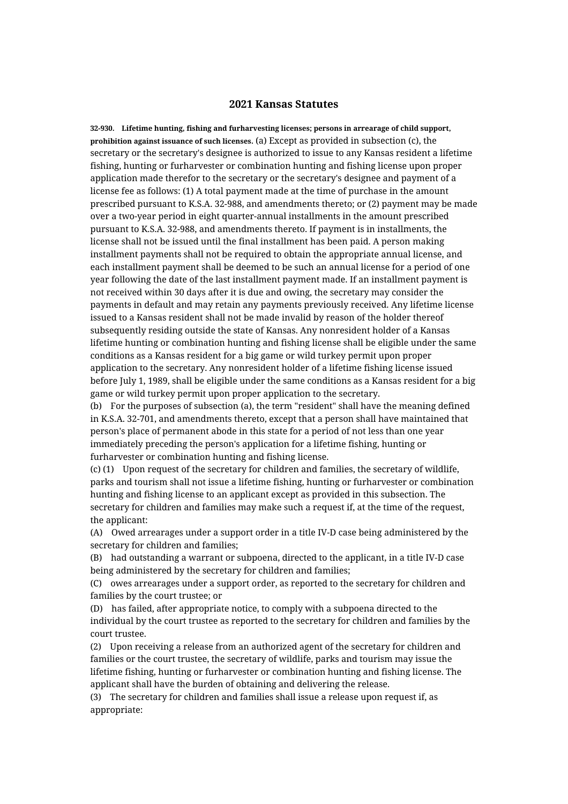## **2021 Kansas Statutes**

**32-930. Lifetime hunting, fishing and furharvesting licenses; persons in arrearage of child support, prohibition against issuance of such licenses.** (a) Except as provided in subsection (c), the secretary or the secretary's designee is authorized to issue to any Kansas resident a lifetime fishing, hunting or furharvester or combination hunting and fishing license upon proper application made therefor to the secretary or the secretary's designee and payment of a license fee as follows: (1) A total payment made at the time of purchase in the amount prescribed pursuant to K.S.A. 32-988, and amendments thereto; or (2) payment may be made over a two-year period in eight quarter-annual installments in the amount prescribed pursuant to K.S.A. 32-988, and amendments thereto. If payment is in installments, the license shall not be issued until the final installment has been paid. A person making installment payments shall not be required to obtain the appropriate annual license, and each installment payment shall be deemed to be such an annual license for a period of one year following the date of the last installment payment made. If an installment payment is not received within 30 days after it is due and owing, the secretary may consider the payments in default and may retain any payments previously received. Any lifetime license issued to a Kansas resident shall not be made invalid by reason of the holder thereof subsequently residing outside the state of Kansas. Any nonresident holder of a Kansas lifetime hunting or combination hunting and fishing license shall be eligible under the same conditions as a Kansas resident for a big game or wild turkey permit upon proper application to the secretary. Any nonresident holder of a lifetime fishing license issued before July 1, 1989, shall be eligible under the same conditions as a Kansas resident for a big game or wild turkey permit upon proper application to the secretary.

(b) For the purposes of subsection (a), the term "resident" shall have the meaning defined in K.S.A. 32-701, and amendments thereto, except that a person shall have maintained that person's place of permanent abode in this state for a period of not less than one year immediately preceding the person's application for a lifetime fishing, hunting or furharvester or combination hunting and fishing license.

(c) (1) Upon request of the secretary for children and families, the secretary of wildlife, parks and tourism shall not issue a lifetime fishing, hunting or furharvester or combination hunting and fishing license to an applicant except as provided in this subsection. The secretary for children and families may make such a request if, at the time of the request, the applicant:

(A) Owed arrearages under a support order in a title IV-D case being administered by the secretary for children and families;

(B) had outstanding a warrant or subpoena, directed to the applicant, in a title IV-D case being administered by the secretary for children and families;

(C) owes arrearages under a support order, as reported to the secretary for children and families by the court trustee; or

(D) has failed, after appropriate notice, to comply with a subpoena directed to the individual by the court trustee as reported to the secretary for children and families by the court trustee.

(2) Upon receiving a release from an authorized agent of the secretary for children and families or the court trustee, the secretary of wildlife, parks and tourism may issue the lifetime fishing, hunting or furharvester or combination hunting and fishing license. The applicant shall have the burden of obtaining and delivering the release.

(3) The secretary for children and families shall issue a release upon request if, as appropriate: